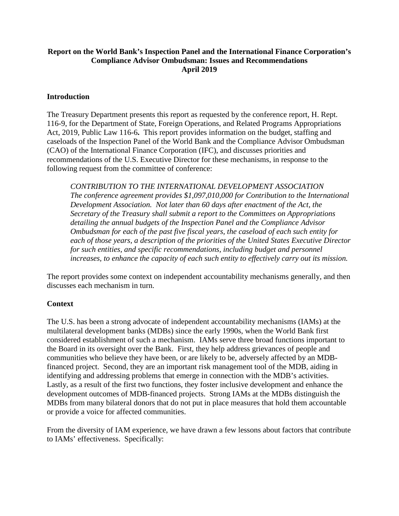# **Report on the World Bank's Inspection Panel and the International Finance Corporation's Compliance Advisor Ombudsman: Issues and Recommendations April 2019**

### **Introduction**

 Act, 2019, Public Law 116-6**.** This report provides information on the budget, staffing and (CAO) of the International Finance Corporation (IFC), and discusses priorities and following request from the committee of conference: The Treasury Department presents this report as requested by the conference report, H. Rept. 116-9, for the Department of State, Foreign Operations, and Related Programs Appropriations caseloads of the Inspection Panel of the World Bank and the Compliance Advisor Ombudsman recommendations of the U.S. Executive Director for these mechanisms, in response to the

 *Development Association. Not later than 60 days after enactment of the Act, the detailing the annual budgets of the Inspection Panel and the Compliance Advisor CONTRIBUTION TO THE INTERNATIONAL DEVELOPMENT ASSOCIATION The conference agreement provides \$1,097,010,000 for Contribution to the International Secretary of the Treasury shall submit a report to the Committees on Appropriations Ombudsman for each of the past five fiscal years, the caseload of each such entity for each of those years, a description of the priorities of the United States Executive Director for such entities, and specific recommendations, including budget and personnel increases, to enhance the capacity of each such entity to effectively carry out its mission.* 

The report provides some context on independent accountability mechanisms generally, and then discusses each mechanism in turn.

# **Context**

 the Board in its oversight over the Bank. First, they help address grievances of people and financed project. Second, they are an important risk management tool of the MDB, aiding in identifying and addressing problems that emerge in connection with the MDB's activities. development outcomes of MDB-financed projects. Strong IAMs at the MDBs distinguish the The U.S. has been a strong advocate of independent accountability mechanisms (IAMs) at the multilateral development banks (MDBs) since the early 1990s, when the World Bank first considered establishment of such a mechanism. IAMs serve three broad functions important to communities who believe they have been, or are likely to be, adversely affected by an MDB-Lastly, as a result of the first two functions, they foster inclusive development and enhance the MDBs from many bilateral donors that do not put in place measures that hold them accountable or provide a voice for affected communities.

 to IAMs' effectiveness. Specifically: From the diversity of IAM experience, we have drawn a few lessons about factors that contribute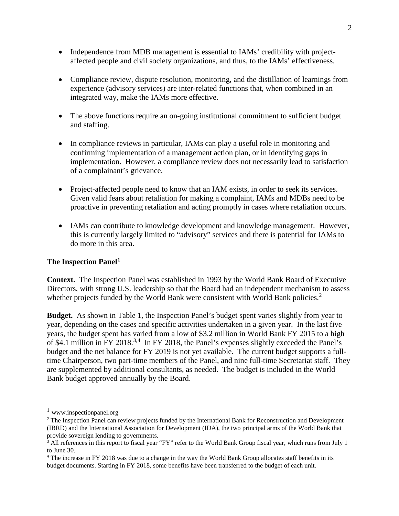- affected people and civil society organizations, and thus, to the IAMs' effectiveness. • Independence from MDB management is essential to IAMs' credibility with project-
- Compliance review, dispute resolution, monitoring, and the distillation of learnings from experience (advisory services) are inter-related functions that, when combined in an integrated way, make the IAMs more effective.
- • The above functions require an on-going institutional commitment to sufficient budget and staffing.
- • In compliance reviews in particular, IAMs can play a useful role in monitoring and implementation. However, a compliance review does not necessarily lead to satisfaction of a complainant's grievance. confirming implementation of a management action plan, or in identifying gaps in
- Project-affected people need to know that an IAM exists, in order to seek its services. Given valid fears about retaliation for making a complaint, IAMs and MDBs need to be proactive in preventing retaliation and acting promptly in cases where retaliation occurs.
- • IAMs can contribute to knowledge development and knowledge management. However, this is currently largely limited to "advisory" services and there is potential for IAMs to do more in this area.

### **The Inspection Panel[1](#page-1-0)**

 **Context.** The Inspection Panel was established in 1993 by the World Bank Board of Executive whether projects funded by the World Bank were consistent with World Bank policies.<sup>2</sup> Directors, with strong U.S. leadership so that the Board had an independent mechanism to assess

Budget. As shown in Table 1, the Inspection Panel's budget spent varies slightly from year to year, depending on the cases and specific activities undertaken in a given year. In the last five of \$4.1 million in FY 2018.<sup>[3,](#page-1-2)[4](#page-1-3)</sup> In FY 2018, the Panel's expenses slightly exceeded the Panel's budget and the net balance for FY 2019 is not yet available. The current budget supports a full- time Chairperson, two part-time members of the Panel, and nine full-time Secretariat staff. They are supplemented by additional consultants, as needed. The budget is included in the World Bank budget approved annually by the Board. years, the budget spent has varied from a low of \$3.2 million in World Bank FY 2015 to a high

 $\overline{a}$ 

<span id="page-1-0"></span> $1$  www.inspectionpanel.org

<span id="page-1-1"></span><sup>&</sup>lt;sup>2</sup> The Inspection Panel can review projects funded by the International Bank for Reconstruction and Development (IBRD) and the International Association for Development (IDA), the two principal arms of the World Bank that provide sovereign lending to governments.

<span id="page-1-2"></span> $3$  All references in this report to fiscal year "FY" refer to the World Bank Group fiscal year, which runs from July 1 to June 30.

<span id="page-1-3"></span>to June 30.<br><sup>4</sup> The increase in FY 2018 was due to a change in the way the World Bank Group allocates staff benefits in its budget documents. Starting in FY 2018, some benefits have been transferred to the budget of each unit.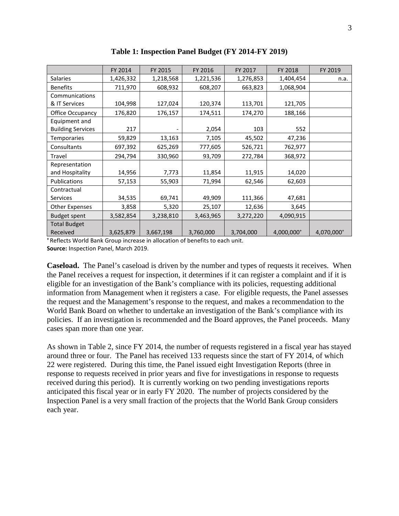|                          | FY 2014   | FY 2015   | FY 2016   | FY 2017   | FY 2018    | FY 2019    |
|--------------------------|-----------|-----------|-----------|-----------|------------|------------|
| <b>Salaries</b>          | 1,426,332 | 1,218,568 | 1,221,536 | 1,276,853 | 1,404,454  | n.a.       |
| <b>Benefits</b>          | 711,970   | 608,932   | 608,207   | 663,823   | 1,068,904  |            |
| Communications           |           |           |           |           |            |            |
| & IT Services            | 104,998   | 127,024   | 120,374   | 113,701   | 121,705    |            |
| Office Occupancy         | 176,820   | 176,157   | 174,511   | 174,270   | 188,166    |            |
| Equipment and            |           |           |           |           |            |            |
| <b>Building Services</b> | 217       |           | 2,054     | 103       | 552        |            |
| <b>Temporaries</b>       | 59,829    | 13,163    | 7,105     | 45,502    | 47,236     |            |
| Consultants              | 697,392   | 625,269   | 777,605   | 526,721   | 762,977    |            |
| Travel                   | 294,794   | 330,960   | 93,709    | 272,784   | 368,972    |            |
| Representation           |           |           |           |           |            |            |
| and Hospitality          | 14,956    | 7,773     | 11,854    | 11,915    | 14,020     |            |
| Publications             | 57,153    | 55,903    | 71,994    | 62,546    | 62,603     |            |
| Contractual              |           |           |           |           |            |            |
| <b>Services</b>          | 34,535    | 69,741    | 49,909    | 111,366   | 47,681     |            |
| <b>Other Expenses</b>    | 3,858     | 5,320     | 25,107    | 12,636    | 3,645      |            |
| <b>Budget spent</b>      | 3,582,854 | 3,238,810 | 3,463,965 | 3,272,220 | 4,090,915  |            |
| <b>Total Budget</b>      |           |           |           |           |            |            |
| Received                 | 3,625,879 | 3,667,198 | 3,760,000 | 3,704,000 | 4,000,000+ | 4,070,000+ |

 **Table 1: Inspection Panel Budget (FY 2014-FY 2019)** 

 **Source:** Inspection Panel, March 2019. **<sup>+</sup>**Reflects World Bank Group increase in allocation of benefits to each unit.

 the Panel receives a request for inspection, it determines if it can register a complaint and if it is information from Management when it registers a case. For eligible requests, the Panel assesses the request and the Management's response to the request, and makes a recommendation to the policies. If an investigation is recommended and the Board approves, the Panel proceeds. Many cases span more than one year. **Caseload.** The Panel's caseload is driven by the number and types of requests it receives. When eligible for an investigation of the Bank's compliance with its policies, requesting additional World Bank Board on whether to undertake an investigation of the Bank's compliance with its

 22 were registered. During this time, the Panel issued eight Investigation Reports (three in response to requests received in prior years and five for investigations in response to requests received during this period). It is currently working on two pending investigations reports anticipated this fiscal year or in early FY 2020. The number of projects considered by the each year. As shown in Table 2, since FY 2014, the number of requests registered in a fiscal year has stayed around three or four. The Panel has received 133 requests since the start of FY 2014, of which Inspection Panel is a very small fraction of the projects that the World Bank Group considers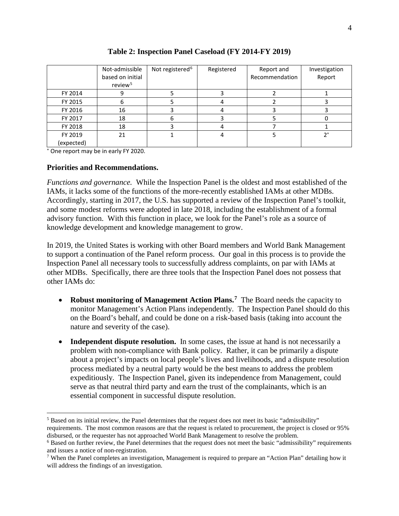|            | Not-admissible<br>based on initial<br>review <sup>5</sup> | Not registered <sup>6</sup> | Registered | Report and<br>Recommendation | Investigation<br>Report |
|------------|-----------------------------------------------------------|-----------------------------|------------|------------------------------|-------------------------|
| FY 2014    |                                                           |                             |            |                              |                         |
| FY 2015    | 6                                                         |                             |            |                              |                         |
| FY 2016    | 16                                                        |                             |            |                              |                         |
| FY 2017    | 18                                                        | 6                           |            |                              |                         |
| FY 2018    | 18                                                        |                             |            |                              |                         |
| FY 2019    | 21                                                        |                             |            |                              | $2^+$                   |
| (expected) |                                                           |                             |            |                              |                         |

**Table 2: Inspection Panel Caseload (FY 2014-FY 2019)** 

+ One report may be in early FY 2020.

### **Priorities and Recommendations.**

IAMs, it lacks some of the functions of the more-recently established IAMs at other MDBs. advisory function. With this function in place, we look for the Panel's role as a source of *Functions and governance.* While the Inspection Panel is the oldest and most established of the Accordingly, starting in 2017, the U.S. has supported a review of the Inspection Panel's toolkit, and some modest reforms were adopted in late 2018, including the establishment of a formal knowledge development and knowledge management to grow.

 other MDBs. Specifically, there are three tools that the Inspection Panel does not possess that other IAMs do: In 2019, the United States is working with other Board members and World Bank Management to support a continuation of the Panel reform process. Our goal in this process is to provide the Inspection Panel all necessary tools to successfully address complaints, on par with IAMs at

- • **Robust monitoring of Management Action Plans.[7](#page-3-2)** The Board needs the capacity to on the Board's behalf, and could be done on a risk-based basis (taking into account the monitor Management's Action Plans independently. The Inspection Panel should do this nature and severity of the case).
- • **Independent dispute resolution.** In some cases, the issue at hand is not necessarily a problem with non-compliance with Bank policy. Rather, it can be primarily a dispute essential component in successful dispute resolution. about a project's impacts on local people's lives and livelihoods, and a dispute resolution process mediated by a neutral party would be the best means to address the problem expeditiously. The Inspection Panel, given its independence from Management, could serve as that neutral third party and earn the trust of the complainants, which is an

<span id="page-3-0"></span> $\overline{a}$  disbursed, or the requester has not approached World Bank Management to resolve the problem. <sup>5</sup> Based on its initial review, the Panel determines that the request does not meet its basic "admissibility" requirements. The most common reasons are that the request is related to procurement, the project is closed or 95%

<span id="page-3-1"></span><sup>6</sup> Based on further review, the Panel determines that the request does not meet the basic "admissibility" requirements and issues a notice of non-registration.

<span id="page-3-2"></span><sup>&</sup>lt;sup>7</sup> When the Panel completes an investigation, Management is required to prepare an "Action Plan" detailing how it will address the findings of an investigation.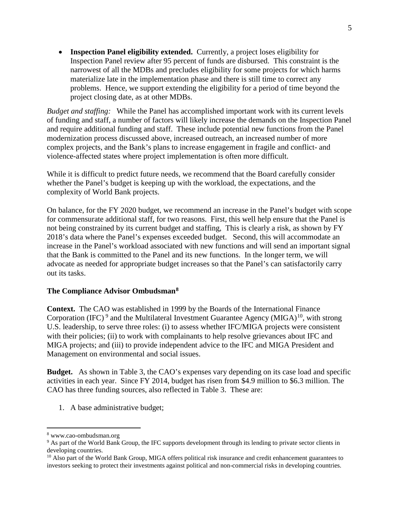• **Inspection Panel eligibility extended.** Currently, a project loses eligibility for Inspection Panel review after 95 percent of funds are disbursed. This constraint is the narrowest of all the MDBs and precludes eligibility for some projects for which harms materialize late in the implementation phase and there is still time to correct any problems. Hence, we support extending the eligibility for a period of time beyond the project closing date, as at other MDBs.

 *Budget and staffing:* While the Panel has accomplished important work with its current levels of funding and staff, a number of factors will likely increase the demands on the Inspection Panel and require additional funding and staff. These include potential new functions from the Panel modernization process discussed above, increased outreach, an increased number of more complex projects, and the Bank's plans to increase engagement in fragile and conflict- and violence-affected states where project implementation is often more difficult.

While it is difficult to predict future needs, we recommend that the Board carefully consider whether the Panel's budget is keeping up with the workload, the expectations, and the complexity of World Bank projects.

 On balance, for the FY 2020 budget, we recommend an increase in the Panel's budget with scope not being constrained by its current budget and staffing, This is clearly a risk, as shown by FY that the Bank is committed to the Panel and its new functions. In the longer term, we will for commensurate additional staff, for two reasons. First, this well help ensure that the Panel is 2018's data where the Panel's expenses exceeded budget. Second, this will accommodate an increase in the Panel's workload associated with new functions and will send an important signal advocate as needed for appropriate budget increases so that the Panel's can satisfactorily carry out its tasks.

### **The Compliance Advisor Ombudsman[8](#page-4-0)**

 **Context.** The CAO was established in 1999 by the Boards of the International Finance U.S. leadership, to serve three roles: (i) to assess whether IFC/MIGA projects were consistent MIGA projects; and (iii) to provide independent advice to the IFC and MIGA President and Corporation (IFC)<sup>9</sup> and the Multilateral Investment Guarantee Agency (MIGA)<sup>10</sup>, with strong with their policies; (ii) to work with complainants to help resolve grievances about IFC and Management on environmental and social issues.

**Budget.** As shown in Table 3, the CAO's expenses vary depending on its case load and specific CAO has three funding sources, also reflected in Table 3. These are: activities in each year. Since FY 2014, budget has risen from \$4.9 million to \$6.3 million. The

1. A base administrative budget;

 $\overline{a}$ 

<span id="page-4-1"></span><span id="page-4-0"></span> developing countries. <sup>8</sup> www.cao-ombudsman.org<br><sup>9</sup> As part of the World Bank Group, the IFC supports development through its lending to private sector clients in

<span id="page-4-2"></span> investors seeking to protect their investments against political and non-commercial risks in developing countries. <sup>10</sup> Also part of the World Bank Group, MIGA offers political risk insurance and credit enhancement guarantees to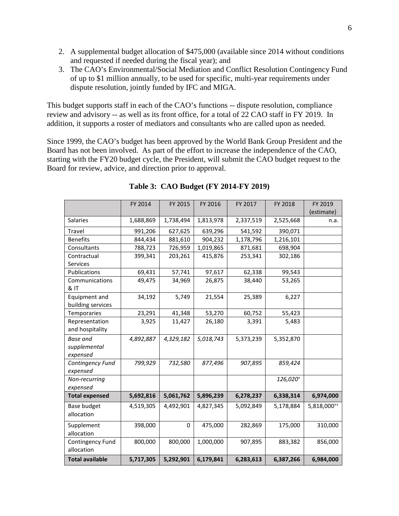- and requested if needed during the fiscal year); and 2. A supplemental budget allocation of \$475,000 (available since 2014 without conditions
- 3. The CAO's Environmental/Social Mediation and Conflict Resolution Contingency Fund of up to \$1 million annually, to be used for specific, multi-year requirements under dispute resolution, jointly funded by IFC and MIGA.

 This budget supports staff in each of the CAO's functions -- dispute resolution, compliance review and advisory -- as well as its front office, for a total of 22 CAO staff in FY 2019. In addition, it supports a roster of mediators and consultants who are called upon as needed.

 Since 1999, the CAO's budget has been approved by the World Bank Group President and the Board has not been involved. As part of the effort to increase the independence of the CAO, starting with the FY20 budget cycle, the President, will submit the CAO budget request to the Board for review, advice, and direction prior to approval.

|                                             | FY 2014   | FY 2015   | FY 2016   | FY 2017   | FY 2018   | FY 2019     |
|---------------------------------------------|-----------|-----------|-----------|-----------|-----------|-------------|
|                                             |           |           |           |           |           | (estimate)  |
| <b>Salaries</b>                             | 1,688,869 | 1,738,494 | 1,813,978 | 2,337,519 | 2,525,668 | n.a.        |
| <b>Travel</b>                               | 991,206   | 627,625   | 639,296   | 541,592   | 390,071   |             |
| <b>Benefits</b>                             | 844,434   | 881,610   | 904,232   | 1,178,796 | 1,216,101 |             |
| Consultants                                 | 788,723   | 726,959   | 1,019,865 | 871,681   | 698,904   |             |
| Contractual<br><b>Services</b>              | 399,341   | 203,261   | 415,876   | 253,341   | 302,186   |             |
| Publications                                | 69,431    | 57,741    | 97,617    | 62,338    | 99,543    |             |
| Communications<br>& IT                      | 49,475    | 34,969    | 26,875    | 38,440    | 53,265    |             |
| Equipment and<br>building services          | 34,192    | 5,749     | 21,554    | 25,389    | 6,227     |             |
| Temporaries                                 | 23,291    | 41,348    | 53,270    | 60,752    | 55,423    |             |
| Representation<br>and hospitality           | 3,925     | 11,427    | 26,180    | 3,391     | 5,483     |             |
| <b>Base and</b><br>supplemental<br>expensed | 4,892,887 | 4,329,182 | 5,018,743 | 5,373,239 | 5,352,870 |             |
| Contingency Fund<br>expensed                | 799,929   | 732,580   | 877,496   | 907,895   | 859,424   |             |
| Non-recurring<br>expensed                   |           |           |           |           | 126,020+  |             |
| <b>Total expensed</b>                       | 5,692,816 | 5,061,762 | 5,896,239 | 6,278,237 | 6,338,314 | 6,974,000   |
| <b>Base budget</b><br>allocation            | 4,519,305 | 4,492,901 | 4,827,345 | 5,092,849 | 5,178,884 | 5,818,000** |
| Supplement<br>allocation                    | 398,000   | 0         | 475,000   | 282,869   | 175,000   | 310,000     |
| Contingency Fund<br>allocation              | 800,000   | 800,000   | 1,000,000 | 907,895   | 883,382   | 856,000     |
| <b>Total available</b>                      | 5,717,305 | 5,292,901 | 6,179,841 | 6,283,613 | 6,387,266 | 6,984,000   |

 **Table 3: CAO Budget (FY 2014-FY 2019)**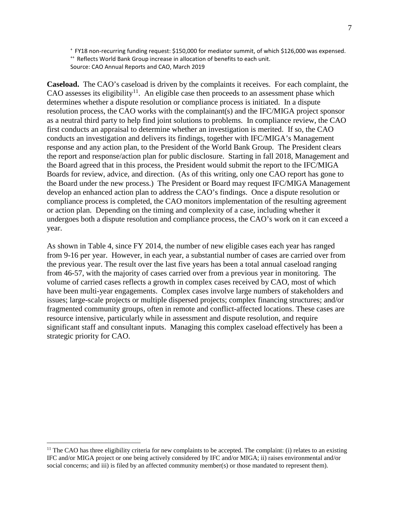+ FY18 non-recurring funding request: \$150,000 for mediator summit, of which \$126,000 was expensed.<br>++ Reflects World Bank Group increase in allocation of benefits to each unit.

Source: CAO Annual Reports and CAO, March 2019

Caseload. The CAO's caseload is driven by the complaints it receives. For each complaint, the CAO assesses its eligibility<sup>[11](#page-6-0)</sup>. An eligible case then proceeds to an assessment phase which determines whether a dispute resolution or compliance process is initiated. In a dispute first conducts an appraisal to determine whether an investigation is merited. If so, the CAO the Board agreed that in this process, the President would submit the report to the IFC/MIGA Boards for review, advice, and direction. (As of this writing, only one CAO report has gone to the Board under the new process.) The President or Board may request IFC/MIGA Management year. resolution process, the CAO works with the complainant(s) and the IFC/MIGA project sponsor as a neutral third party to help find joint solutions to problems. In compliance review, the CAO conducts an investigation and delivers its findings, together with IFC/MIGA's Management response and any action plan, to the President of the World Bank Group. The President clears the report and response/action plan for public disclosure. Starting in fall 2018, Management and develop an enhanced action plan to address the CAO's findings. Once a dispute resolution or compliance process is completed, the CAO monitors implementation of the resulting agreement or action plan. Depending on the timing and complexity of a case, including whether it undergoes both a dispute resolution and compliance process, the CAO's work on it can exceed a

 from 9-16 per year. However, in each year, a substantial number of cases are carried over from the previous year. The result over the last five years has been a total annual caseload ranging from 46-57, with the majority of cases carried over from a previous year in monitoring. The As shown in Table 4, since FY 2014, the number of new eligible cases each year has ranged volume of carried cases reflects a growth in complex cases received by CAO, most of which have been multi-year engagements. Complex cases involve large numbers of stakeholders and issues; large-scale projects or multiple dispersed projects; complex financing structures; and/or fragmented community groups, often in remote and conflict-affected locations. These cases are resource intensive, particularly while in assessment and dispute resolution, and require significant staff and consultant inputs. Managing this complex caseload effectively has been a strategic priority for CAO.

<span id="page-6-0"></span><sup>&</sup>lt;u>.</u> IFC and/or MIGA project or one being actively considered by IFC and/or MIGA; ii) raises environmental and/or <sup>11</sup> The CAO has three eligibility criteria for new complaints to be accepted. The complaint: (i) relates to an existing social concerns; and iii) is filed by an affected community member(s) or those mandated to represent them).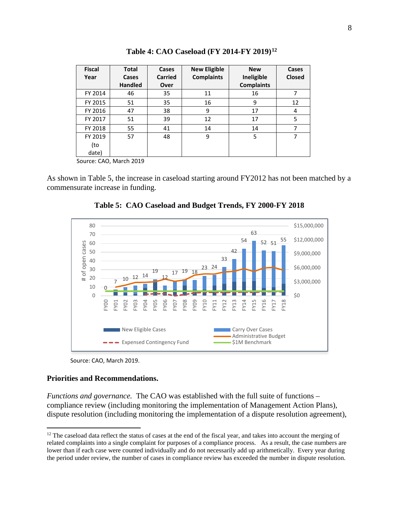| <b>Fiscal</b> | <b>Total</b>   | Cases          | <b>New Eligible</b> | <b>New</b>        | Cases         |
|---------------|----------------|----------------|---------------------|-------------------|---------------|
| Year          | Cases          | <b>Carried</b> | <b>Complaints</b>   | Ineligible        | <b>Closed</b> |
|               | <b>Handled</b> | Over           |                     | <b>Complaints</b> |               |
| FY 2014       | 46             | 35             | 11                  | 16                | 7             |
| FY 2015       | 51             | 35             | 16                  | 9                 | 12            |
| FY 2016       | 47             | 38             | 9                   | 17                | 4             |
| FY 2017       | 51             | 39             | 12                  | 17                | 5             |
| FY 2018       | 55             | 41             | 14                  | 14                |               |
| FY 2019       | 57             | 48             | 9                   | 5                 |               |
| (to           |                |                |                     |                   |               |
| date)         |                |                |                     |                   |               |

**Table 4: CAO Caseload (FY 2014-FY 2019)[12](#page-7-0)** 

Source: CAO, March 2019

As shown in Table 5, the increase in caseload starting around FY2012 has not been matched by a commensurate increase in funding.



**Table 5: CAO Caseload and Budget Trends, FY 2000-FY 2018** 

#### **Priorities and Recommendations.**

 $\overline{a}$ 

*Functions and governance.* The CAO was established with the full suite of functions – compliance review (including monitoring the implementation of Management Action Plans), dispute resolution (including monitoring the implementation of a dispute resolution agreement),

Source: CAO, March 2019.

<span id="page-7-0"></span> $12$  The caseload data reflect the status of cases at the end of the fiscal year, and takes into account the merging of the period under review, the number of cases in compliance review has exceeded the number in dispute resolution. related complaints into a single complaint for purposes of a compliance process. As a result, the case numbers are lower than if each case were counted individually and do not necessarily add up arithmetically. Every year during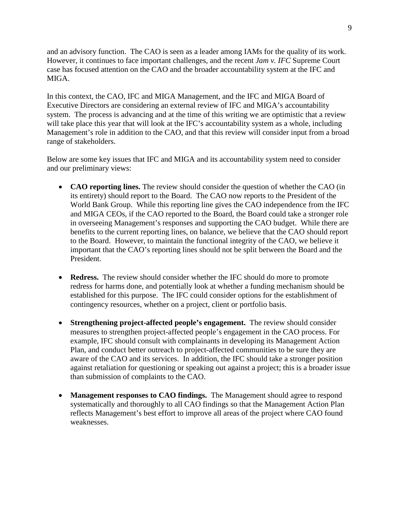and an advisory function. The CAO is seen as a leader among IAMs for the quality of its work.  However, it continues to face important challenges, and the recent *Jam v. IFC* Supreme Court case has focused attention on the CAO and the broader accountability system at the IFC and MIGA.

 In this context, the CAO, IFC and MIGA Management, and the IFC and MIGA Board of Executive Directors are considering an external review of IFC and MIGA's accountability system. The process is advancing and at the time of this writing we are optimistic that a review will take place this year that will look at the IFC's accountability system as a whole, including Management's role in addition to the CAO, and that this review will consider input from a broad range of stakeholders.

Below are some key issues that IFC and MIGA and its accountability system need to consider and our preliminary views:

- World Bank Group. While this reporting line gives the CAO independence from the IFC and MIGA CEOs, if the CAO reported to the Board, the Board could take a stronger role President. • **CAO reporting lines.** The review should consider the question of whether the CAO (in its entirety) should report to the Board. The CAO now reports to the President of the in overseeing Management's responses and supporting the CAO budget. While there are benefits to the current reporting lines, on balance, we believe that the CAO should report to the Board. However, to maintain the functional integrity of the CAO, we believe it important that the CAO's reporting lines should not be split between the Board and the
- **Redress.** The review should consider whether the IFC should do more to promote established for this purpose. The IFC could consider options for the establishment of redress for harms done, and potentially look at whether a funding mechanism should be contingency resources, whether on a project, client or portfolio basis.
- • **Strengthening project-affected people's engagement.** The review should consider Plan, and conduct better outreach to project-affected communities to be sure they are measures to strengthen project-affected people's engagement in the CAO process. For example, IFC should consult with complainants in developing its Management Action aware of the CAO and its services. In addition, the IFC should take a stronger position against retaliation for questioning or speaking out against a project; this is a broader issue than submission of complaints to the CAO.
- • **Management responses to CAO findings.** The Management should agree to respond systematically and thoroughly to all CAO findings so that the Management Action Plan reflects Management's best effort to improve all areas of the project where CAO found weaknesses.